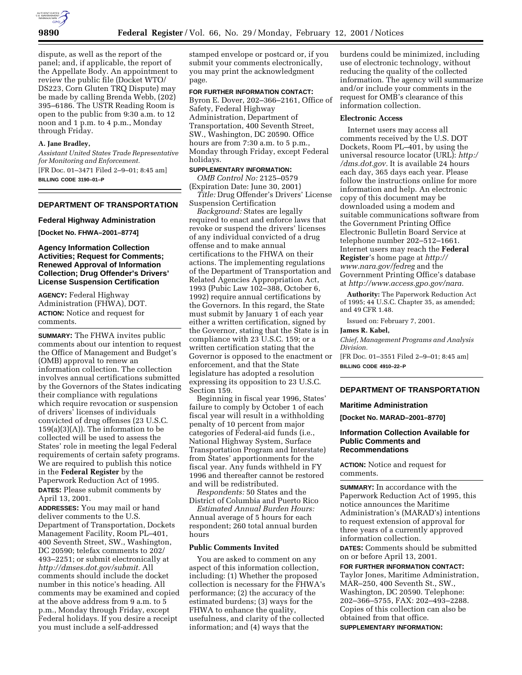

dispute, as well as the report of the panel; and, if applicable, the report of the Appellate Body. An appointment to review the public file (Docket WTO/ DS223, Corn Gluten TRQ Dispute) may be made by calling Brenda Webb, (202) 395–6186. The USTR Reading Room is open to the public from 9:30 a.m. to 12 noon and 1 p.m. to 4 p.m., Monday through Friday.

## **A. Jane Bradley,**

*Assistant United States Trade Representative for Monitoring and Enforcement.* [FR Doc. 01–3471 Filed 2–9–01; 8:45 am] **BILLING CODE 3190–01–P**

## **DEPARTMENT OF TRANSPORTATION**

#### **Federal Highway Administration**

**[Docket No. FHWA–2001–8774]**

## **Agency Information Collection Activities; Request for Comments; Renewed Approval of Information Collection; Drug Offender's Drivers' License Suspension Certification**

**AGENCY:** Federal Highway Administration (FHWA), DOT. **ACTION:** Notice and request for comments.

**SUMMARY:** The FHWA invites public comments about our intention to request the Office of Management and Budget's (OMB) approval to renew an information collection. The collection involves annual certifications submitted by the Governors of the States indicating their compliance with regulations which require revocation or suspension of drivers' licenses of individuals convicted of drug offenses (23 U.S.C.  $159(a)(3)(A)$ . The information to be collected will be used to assess the States' role in meeting the legal Federal requirements of certain safety programs. We are required to publish this notice in the **Federal Register** by the Paperwork Reduction Act of 1995. **DATES:** Please submit comments by April 13, 2001.

**ADDRESSES:** You may mail or hand deliver comments to the U.S. Department of Transportation, Dockets Management Facility, Room PL–401, 400 Seventh Street, SW., Washington, DC 20590; telefax comments to 202/ 493–2251; or submit electronically at *http://dmses.dot.gov/submit.* All comments should include the docket number in this notice's heading. All comments may be examined and copied at the above address from 9 a.m. to 5 p.m., Monday through Friday, except Federal holidays. If you desire a receipt you must include a self-addressed

stamped envelope or postcard or, if you submit your comments electronically, you may print the acknowledgment page.

## **FOR FURTHER INFORMATION CONTACT:**

Byron E. Dover, 202–366–2161, Office of Safety, Federal Highway Administration, Department of Transportation, 400 Seventh Street, SW., Washington, DC 20590. Office hours are from 7:30 a.m. to 5 p.m., Monday through Friday, except Federal holidays.

#### **SUPPLEMENTARY INFORMATION:**

*OMB Control No:* 2125–0579 (Expiration Date: June 30, 2001)

*Title:* Drug Offender's Drivers' License Suspension Certification

*Background:* States are legally required to enact and enforce laws that revoke or suspend the drivers' licenses of any individual convicted of a drug offense and to make annual certifications to the FHWA on their actions. The implementing regulations of the Department of Transportation and Related Agencies Appropriation Act, 1993 (Pubic Law 102–388, October 6, 1992) require annual certifications by the Governors. In this regard, the State must submit by January 1 of each year either a written certification, signed by the Governor, stating that the State is in compliance with 23 U.S.C. 159; or a written certification stating that the Governor is opposed to the enactment or enforcement, and that the State legislature has adopted a resolution expressing its opposition to 23 U.S.C. Section 159.

Beginning in fiscal year 1996, States' failure to comply by October 1 of each fiscal year will result in a withholding penalty of 10 percent from major categories of Federal-aid funds (i.e., National Highway System, Surface Transportation Program and Interstate) from States' apportionments for the fiscal year. Any funds withheld in FY 1996 and thereafter cannot be restored and will be redistributed.

*Respondents:* 50 States and the District of Columbia and Puerto Rico

*Estimated Annual Burden Hours:* Annual average of 5 hours for each respondent; 260 total annual burden hours

## **Public Comments Invited**

You are asked to comment on any aspect of this information collection, including: (1) Whether the proposed collection is necessary for the FHWA's performance; (2) the accuracy of the estimated burdens; (3) ways for the FHWA to enhance the quality, usefulness, and clarity of the collected information; and (4) ways that the

burdens could be minimized, including use of electronic technology, without reducing the quality of the collected information. The agency will summarize and/or include your comments in the request for OMB's clearance of this information collection.

#### **Electronic Access**

Internet users may access all comments received by the U.S. DOT Dockets, Room PL–401, by using the universal resource locator (URL): *http:/ /dms.dot.gov.* It is available 24 hours each day, 365 days each year. Please follow the instructions online for more information and help. An electronic copy of this document may be downloaded using a modem and suitable communications software from the Government Printing Office Electronic Bulletin Board Service at telephone number 202–512–1661. Internet users may reach the **Federal Register**'s home page at *http:// www.nara.gov/fedreg* and the Government Printing Office's database at *http://www.access.gpo.gov/nara.*

**Authority:** The Paperwork Reduction Act of 1995; 44 U.S.C. Chapter 35, as amended; and 49 CFR 1.48.

Issued on: February 7, 2001.

#### **James R. Kabel,**

*Chief, Management Programs and Analysis Division.*

[FR Doc. 01–3551 Filed 2–9–01; 8:45 am] **BILLING CODE 4910–22–P**

## **DEPARTMENT OF TRANSPORTATION**

**Maritime Administration**

**[Docket No. MARAD–2001–8770]**

#### **Information Collection Available for Public Comments and Recommendations**

**ACTION:** Notice and request for comments.

**SUMMARY:** In accordance with the Paperwork Reduction Act of 1995, this notice announces the Maritime Administration's (MARAD's) intentions to request extension of approval for three years of a currently approved information collection.

**DATES:** Comments should be submitted on or before April 13, 2001.

**FOR FURTHER INFORMATION CONTACT:** Taylor Jones, Maritime Administration, MAR–250, 400 Seventh St., SW., Washington, DC 20590. Telephone: 202–366–5755, FAX: 202–493–2288. Copies of this collection can also be obtained from that office. **SUPPLEMENTARY INFORMATION:**